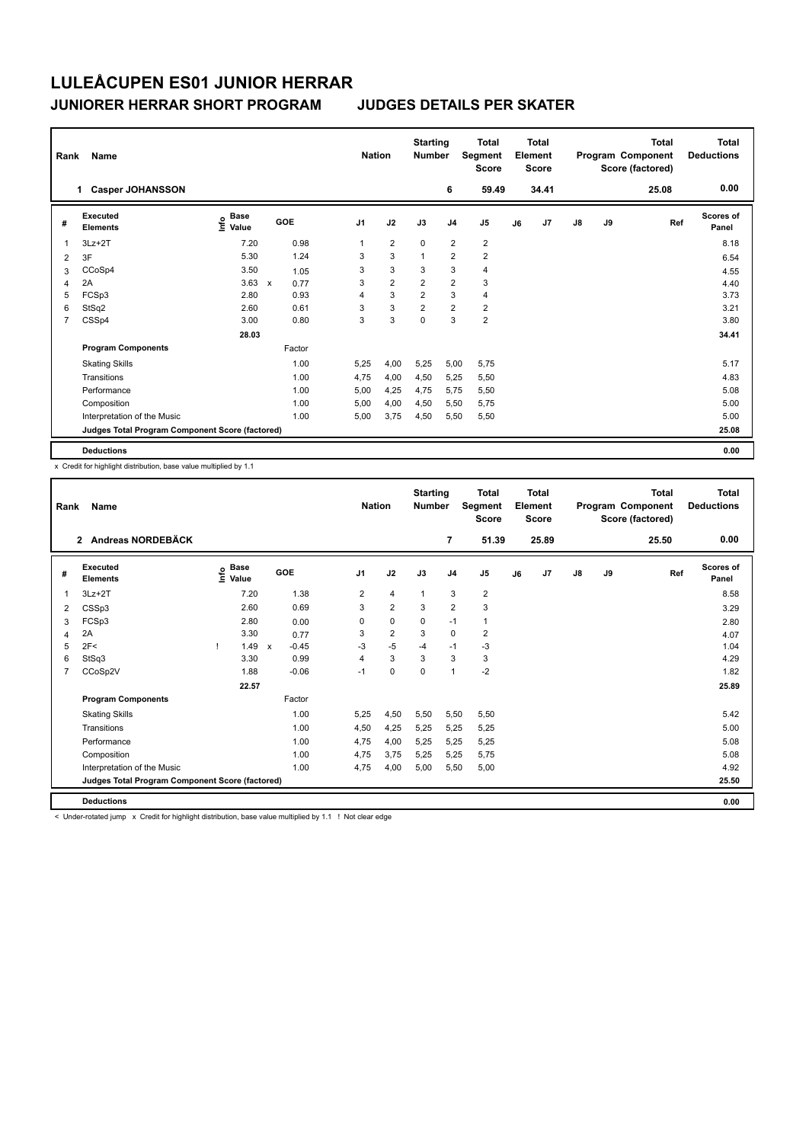### **JUNIORER HERRAR SHORT PROGRAM JUDGES DETAILS PER SKATER**

| Rank | Name                                            |                                  | <b>Nation</b> | <b>Starting</b><br><b>Number</b> |                | <b>Total</b><br>Segment<br><b>Score</b> |                | <b>Total</b><br>Element<br><b>Score</b> |                |    | <b>Total</b><br>Program Component<br>Score (factored) | <b>Total</b><br><b>Deductions</b> |    |       |                           |
|------|-------------------------------------------------|----------------------------------|---------------|----------------------------------|----------------|-----------------------------------------|----------------|-----------------------------------------|----------------|----|-------------------------------------------------------|-----------------------------------|----|-------|---------------------------|
|      | <b>Casper JOHANSSON</b><br>1                    |                                  |               |                                  |                |                                         |                | 6                                       | 59.49          |    | 34.41                                                 |                                   |    | 25.08 | 0.00                      |
| #    | Executed<br><b>Elements</b>                     | <b>Base</b><br>e Base<br>E Value |               | <b>GOE</b>                       | J <sub>1</sub> | J2                                      | J3             | J <sub>4</sub>                          | J <sub>5</sub> | J6 | J7                                                    | $\mathsf{J}8$                     | J9 | Ref   | <b>Scores of</b><br>Panel |
|      | $3Lz + 2T$                                      | 7.20                             |               | 0.98                             | 1              | $\overline{2}$                          | $\mathbf 0$    | $\overline{2}$                          | $\overline{2}$ |    |                                                       |                                   |    |       | 8.18                      |
| 2    | 3F                                              | 5.30                             |               | 1.24                             | 3              | 3                                       | $\mathbf{1}$   | $\overline{2}$                          | $\overline{2}$ |    |                                                       |                                   |    |       | 6.54                      |
| 3    | CCoSp4                                          | 3.50                             |               | 1.05                             | 3              | 3                                       | 3              | 3                                       | $\overline{4}$ |    |                                                       |                                   |    |       | 4.55                      |
| 4    | 2A                                              | 3.63                             | $\mathsf{x}$  | 0.77                             | 3              | $\overline{\mathbf{c}}$                 | 2              | $\overline{2}$                          | 3              |    |                                                       |                                   |    |       | 4.40                      |
| 5    | FCSp3                                           | 2.80                             |               | 0.93                             | 4              | 3                                       | $\overline{2}$ | 3                                       | $\overline{4}$ |    |                                                       |                                   |    |       | 3.73                      |
| 6    | StSq2                                           | 2.60                             |               | 0.61                             | 3              | 3                                       | $\overline{2}$ | $\overline{2}$                          | $\overline{2}$ |    |                                                       |                                   |    |       | 3.21                      |
| 7    | CSSp4                                           | 3.00                             |               | 0.80                             | 3              | 3                                       | $\mathbf 0$    | 3                                       | $\overline{2}$ |    |                                                       |                                   |    |       | 3.80                      |
|      |                                                 | 28.03                            |               |                                  |                |                                         |                |                                         |                |    |                                                       |                                   |    |       | 34.41                     |
|      | <b>Program Components</b>                       |                                  |               | Factor                           |                |                                         |                |                                         |                |    |                                                       |                                   |    |       |                           |
|      | <b>Skating Skills</b>                           |                                  |               | 1.00                             | 5.25           | 4,00                                    | 5,25           | 5,00                                    | 5,75           |    |                                                       |                                   |    |       | 5.17                      |
|      | Transitions                                     |                                  |               | 1.00                             | 4,75           | 4,00                                    | 4,50           | 5,25                                    | 5,50           |    |                                                       |                                   |    |       | 4.83                      |
|      | Performance                                     |                                  |               | 1.00                             | 5.00           | 4.25                                    | 4.75           | 5.75                                    | 5,50           |    |                                                       |                                   |    |       | 5.08                      |
|      | Composition                                     |                                  |               | 1.00                             | 5,00           | 4,00                                    | 4,50           | 5,50                                    | 5,75           |    |                                                       |                                   |    |       | 5.00                      |
|      | Interpretation of the Music                     |                                  |               | 1.00                             | 5,00           | 3,75                                    | 4,50           | 5,50                                    | 5,50           |    |                                                       |                                   |    |       | 5.00                      |
|      | Judges Total Program Component Score (factored) |                                  |               |                                  |                |                                         |                |                                         |                |    |                                                       |                                   |    |       | 25.08                     |
|      | <b>Deductions</b>                               |                                  |               |                                  |                |                                         |                |                                         |                |    |                                                       |                                   |    |       | 0.00                      |

x Credit for highlight distribution, base value multiplied by 1.1

| Rank           | Name                                            |                        |                           |         |                | <b>Nation</b>           | <b>Starting</b><br><b>Number</b> |                | <b>Total</b><br>Segment<br><b>Score</b> |    | <b>Total</b><br>Element<br><b>Score</b> |               |    | <b>Total</b><br>Program Component<br>Score (factored) | <b>Total</b><br><b>Deductions</b> |
|----------------|-------------------------------------------------|------------------------|---------------------------|---------|----------------|-------------------------|----------------------------------|----------------|-----------------------------------------|----|-----------------------------------------|---------------|----|-------------------------------------------------------|-----------------------------------|
|                | Andreas NORDEBÄCK<br>$\mathbf{2}$               |                        |                           |         |                |                         |                                  | 7              | 51.39                                   |    | 25.89                                   |               |    | 25.50                                                 | 0.00                              |
| #              | Executed<br><b>Elements</b>                     | $\sum_{i=1}^{n}$ Value |                           | GOE     | J <sub>1</sub> | J2                      | J3                               | J <sub>4</sub> | J <sub>5</sub>                          | J6 | J7                                      | $\mathsf{J}8$ | J9 | Ref                                                   | Scores of<br>Panel                |
| 1              | $3Lz + 2T$                                      | 7.20                   |                           | 1.38    | 2              | 4                       | $\mathbf{1}$                     | 3              | $\overline{\mathbf{c}}$                 |    |                                         |               |    |                                                       | 8.58                              |
| 2              | CSSp3                                           | 2.60                   |                           | 0.69    | 3              | $\overline{2}$          | 3                                | $\overline{2}$ | 3                                       |    |                                         |               |    |                                                       | 3.29                              |
| 3              | FCSp3                                           | 2.80                   |                           | 0.00    | $\Omega$       | 0                       | $\Omega$                         | $-1$           | 1                                       |    |                                         |               |    |                                                       | 2.80                              |
| 4              | 2A                                              | 3.30                   |                           | 0.77    | 3              | $\overline{\mathbf{c}}$ | 3                                | 0              | 2                                       |    |                                         |               |    |                                                       | 4.07                              |
| 5              | 2F<                                             | 1.49                   | $\boldsymbol{\mathsf{x}}$ | $-0.45$ | $-3$           | $-5$                    | $-4$                             | $-1$           | $-3$                                    |    |                                         |               |    |                                                       | 1.04                              |
| 6              | StSq3                                           | 3.30                   |                           | 0.99    | 4              | 3                       | 3                                | 3              | 3                                       |    |                                         |               |    |                                                       | 4.29                              |
| $\overline{7}$ | CCoSp2V                                         | 1.88                   |                           | $-0.06$ | $-1$           | $\Omega$                | $\Omega$                         | $\mathbf{1}$   | $-2$                                    |    |                                         |               |    |                                                       | 1.82                              |
|                |                                                 | 22.57                  |                           |         |                |                         |                                  |                |                                         |    |                                         |               |    |                                                       | 25.89                             |
|                | <b>Program Components</b>                       |                        |                           | Factor  |                |                         |                                  |                |                                         |    |                                         |               |    |                                                       |                                   |
|                | <b>Skating Skills</b>                           |                        |                           | 1.00    | 5,25           | 4,50                    | 5,50                             | 5,50           | 5,50                                    |    |                                         |               |    |                                                       | 5.42                              |
|                | Transitions                                     |                        |                           | 1.00    | 4,50           | 4,25                    | 5,25                             | 5,25           | 5,25                                    |    |                                         |               |    |                                                       | 5.00                              |
|                | Performance                                     |                        |                           | 1.00    | 4,75           | 4,00                    | 5,25                             | 5,25           | 5,25                                    |    |                                         |               |    |                                                       | 5.08                              |
|                | Composition                                     |                        |                           | 1.00    | 4,75           | 3.75                    | 5,25                             | 5,25           | 5,75                                    |    |                                         |               |    |                                                       | 5.08                              |
|                | Interpretation of the Music                     |                        |                           | 1.00    | 4,75           | 4,00                    | 5,00                             | 5,50           | 5,00                                    |    |                                         |               |    |                                                       | 4.92                              |
|                | Judges Total Program Component Score (factored) |                        |                           |         |                |                         |                                  |                |                                         |    |                                         |               |    |                                                       | 25.50                             |
|                | <b>Deductions</b>                               |                        |                           |         |                |                         |                                  |                |                                         |    |                                         |               |    |                                                       | 0.00                              |

< Under-rotated jump x Credit for highlight distribution, base value multiplied by 1.1 ! Not clear edge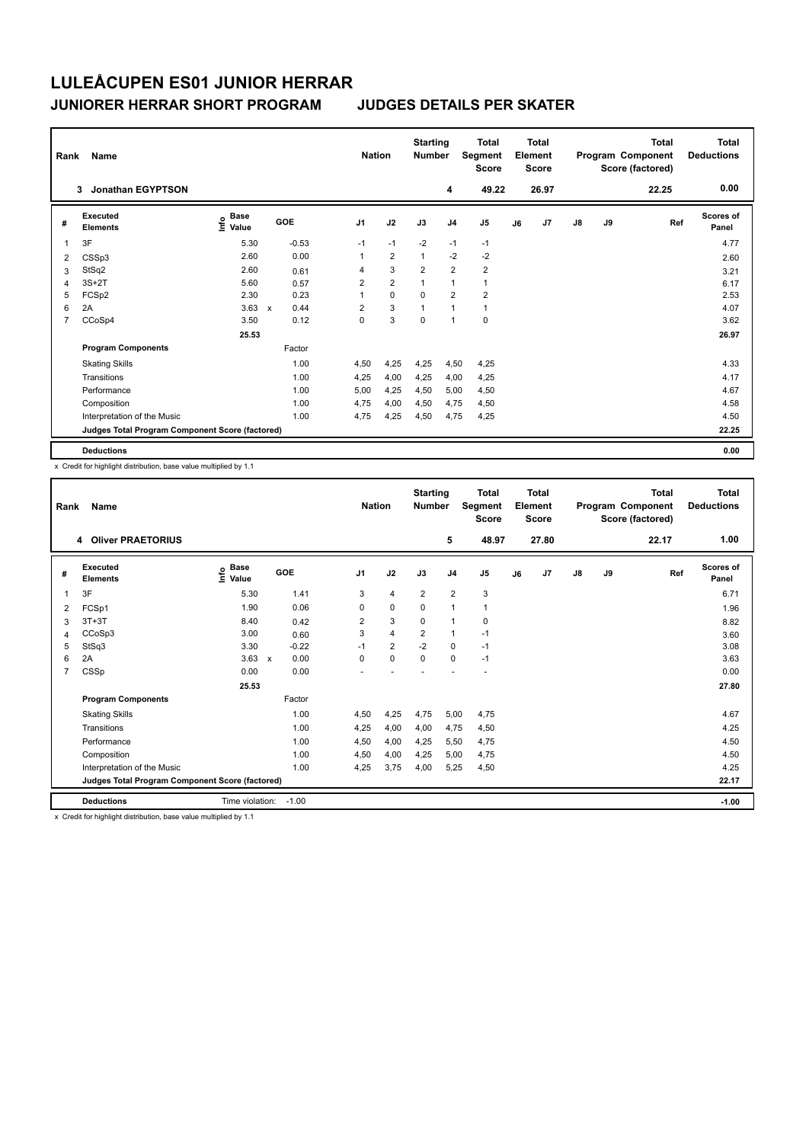### **JUNIORER HERRAR SHORT PROGRAM JUDGES DETAILS PER SKATER**

| Rank | Name                                            | <b>Nation</b>                    |              | <b>Starting</b><br><b>Number</b> |                | <b>Total</b><br>Segment<br><b>Score</b> |                | <b>Total</b><br>Element<br>Score |                |    | <b>Total</b><br>Program Component<br>Score (factored) | <b>Total</b><br><b>Deductions</b> |    |       |                           |
|------|-------------------------------------------------|----------------------------------|--------------|----------------------------------|----------------|-----------------------------------------|----------------|----------------------------------|----------------|----|-------------------------------------------------------|-----------------------------------|----|-------|---------------------------|
|      | <b>Jonathan EGYPTSON</b><br>3.                  |                                  |              |                                  |                |                                         |                | 4                                | 49.22          |    | 26.97                                                 |                                   |    | 22.25 | 0.00                      |
| #    | Executed<br><b>Elements</b>                     | <b>Base</b><br>e Base<br>E Value | <b>GOE</b>   |                                  | J <sub>1</sub> | J2                                      | J3             | J <sub>4</sub>                   | J <sub>5</sub> | J6 | J7                                                    | $\mathsf{J}8$                     | J9 | Ref   | <b>Scores of</b><br>Panel |
|      | 3F                                              | 5.30                             |              | $-0.53$                          | $-1$           | $-1$                                    | $-2$           | $-1$                             | $-1$           |    |                                                       |                                   |    |       | 4.77                      |
| 2    | CSSp3                                           | 2.60                             |              | 0.00                             | 1              | $\overline{2}$                          | $\mathbf{1}$   | $-2$                             | $-2$           |    |                                                       |                                   |    |       | 2.60                      |
| 3    | StSq2                                           | 2.60                             |              | 0.61                             | 4              | 3                                       | $\overline{2}$ | $\overline{2}$                   | $\overline{2}$ |    |                                                       |                                   |    |       | 3.21                      |
| 4    | $3S+2T$                                         | 5.60                             |              | 0.57                             | $\overline{2}$ | $\overline{2}$                          | 1              | 1                                | 1              |    |                                                       |                                   |    |       | 6.17                      |
| 5    | FCSp2                                           | 2.30                             |              | 0.23                             | 1              | 0                                       | 0              | $\overline{2}$                   | $\overline{2}$ |    |                                                       |                                   |    |       | 2.53                      |
| 6    | 2A                                              | 3.63                             | $\mathsf{x}$ | 0.44                             | 2              | 3                                       | $\mathbf{1}$   | 1                                | $\overline{1}$ |    |                                                       |                                   |    |       | 4.07                      |
| 7    | CCoSp4                                          | 3.50                             |              | 0.12                             | 0              | 3                                       | 0              | 1                                | $\mathbf 0$    |    |                                                       |                                   |    |       | 3.62                      |
|      |                                                 | 25.53                            |              |                                  |                |                                         |                |                                  |                |    |                                                       |                                   |    |       | 26.97                     |
|      | <b>Program Components</b>                       |                                  |              | Factor                           |                |                                         |                |                                  |                |    |                                                       |                                   |    |       |                           |
|      | <b>Skating Skills</b>                           |                                  |              | 1.00                             | 4,50           | 4,25                                    | 4,25           | 4,50                             | 4,25           |    |                                                       |                                   |    |       | 4.33                      |
|      | Transitions                                     |                                  |              | 1.00                             | 4,25           | 4,00                                    | 4,25           | 4,00                             | 4,25           |    |                                                       |                                   |    |       | 4.17                      |
|      | Performance                                     |                                  |              | 1.00                             | 5.00           | 4,25                                    | 4,50           | 5,00                             | 4,50           |    |                                                       |                                   |    |       | 4.67                      |
|      | Composition                                     |                                  |              | 1.00                             | 4,75           | 4,00                                    | 4,50           | 4,75                             | 4,50           |    |                                                       |                                   |    |       | 4.58                      |
|      | Interpretation of the Music                     |                                  |              | 1.00                             | 4,75           | 4,25                                    | 4,50           | 4,75                             | 4,25           |    |                                                       |                                   |    |       | 4.50                      |
|      | Judges Total Program Component Score (factored) |                                  |              |                                  |                |                                         |                |                                  |                |    |                                                       |                                   |    |       | 22.25                     |
|      | <b>Deductions</b>                               |                                  |              |                                  |                |                                         |                |                                  |                |    |                                                       |                                   |    |       | 0.00                      |

x Credit for highlight distribution, base value multiplied by 1.1

| Rank           | Name                                            | <b>Nation</b>                    |                      | <b>Starting</b><br><b>Number</b> |                | Total<br>Segment<br><b>Score</b> |                | <b>Total</b><br>Element<br><b>Score</b> |    |                | <b>Total</b><br>Program Component<br>Score (factored) | <b>Total</b><br><b>Deductions</b> |       |                           |
|----------------|-------------------------------------------------|----------------------------------|----------------------|----------------------------------|----------------|----------------------------------|----------------|-----------------------------------------|----|----------------|-------------------------------------------------------|-----------------------------------|-------|---------------------------|
|                | <b>Oliver PRAETORIUS</b><br>4                   |                                  |                      |                                  |                |                                  | 5              | 48.97                                   |    | 27.80          |                                                       |                                   | 22.17 | 1.00                      |
| #              | Executed<br><b>Elements</b>                     | <b>Base</b><br>o Base<br>⊆ Value | GOE                  | J <sub>1</sub>                   | J2             | J3                               | J <sub>4</sub> | J <sub>5</sub>                          | J6 | J <sub>7</sub> | J8                                                    | J9                                | Ref   | <b>Scores of</b><br>Panel |
| 1              | 3F                                              | 5.30                             | 1.41                 | 3                                | $\overline{4}$ | $\overline{2}$                   | $\overline{2}$ | 3                                       |    |                |                                                       |                                   |       | 6.71                      |
| 2              | FCSp1                                           | 1.90                             | 0.06                 | 0                                | $\mathbf 0$    | $\mathbf 0$                      | $\mathbf{1}$   | 1                                       |    |                |                                                       |                                   |       | 1.96                      |
| 3              | $3T+3T$                                         | 8.40                             | 0.42                 | 2                                | 3              | 0                                | $\mathbf{1}$   | 0                                       |    |                |                                                       |                                   |       | 8.82                      |
| 4              | CCoSp3                                          | 3.00                             | 0.60                 | 3                                | $\overline{4}$ | 2                                | $\mathbf{1}$   | $-1$                                    |    |                |                                                       |                                   |       | 3.60                      |
| 5              | StSq3                                           | 3.30                             | $-0.22$              | $-1$                             | $\overline{2}$ | $-2$                             | $\Omega$       | $-1$                                    |    |                |                                                       |                                   |       | 3.08                      |
| 6              | 2A                                              | 3.63                             | 0.00<br>$\mathsf{x}$ | $\Omega$                         | $\mathbf 0$    | $\Omega$                         | 0              | $-1$                                    |    |                |                                                       |                                   |       | 3.63                      |
| $\overline{7}$ | CSSp                                            | 0.00                             | 0.00                 |                                  |                |                                  |                |                                         |    |                |                                                       |                                   |       | 0.00                      |
|                |                                                 | 25.53                            |                      |                                  |                |                                  |                |                                         |    |                |                                                       |                                   |       | 27.80                     |
|                | <b>Program Components</b>                       |                                  | Factor               |                                  |                |                                  |                |                                         |    |                |                                                       |                                   |       |                           |
|                | <b>Skating Skills</b>                           |                                  | 1.00                 | 4,50                             | 4,25           | 4,75                             | 5,00           | 4,75                                    |    |                |                                                       |                                   |       | 4.67                      |
|                | Transitions                                     |                                  | 1.00                 | 4,25                             | 4,00           | 4,00                             | 4,75           | 4,50                                    |    |                |                                                       |                                   |       | 4.25                      |
|                | Performance                                     |                                  | 1.00                 | 4,50                             | 4,00           | 4,25                             | 5,50           | 4,75                                    |    |                |                                                       |                                   |       | 4.50                      |
|                | Composition                                     |                                  | 1.00                 | 4,50                             | 4,00           | 4,25                             | 5,00           | 4,75                                    |    |                |                                                       |                                   |       | 4.50                      |
|                | Interpretation of the Music                     |                                  | 1.00                 | 4,25                             | 3.75           | 4,00                             | 5,25           | 4,50                                    |    |                |                                                       |                                   |       | 4.25                      |
|                | Judges Total Program Component Score (factored) |                                  |                      |                                  |                |                                  |                |                                         |    |                |                                                       |                                   |       | 22.17                     |
|                | <b>Deductions</b>                               | Time violation:                  | $-1.00$              |                                  |                |                                  |                |                                         |    |                |                                                       |                                   |       | $-1.00$                   |

x Credit for highlight distribution, base value multiplied by 1.1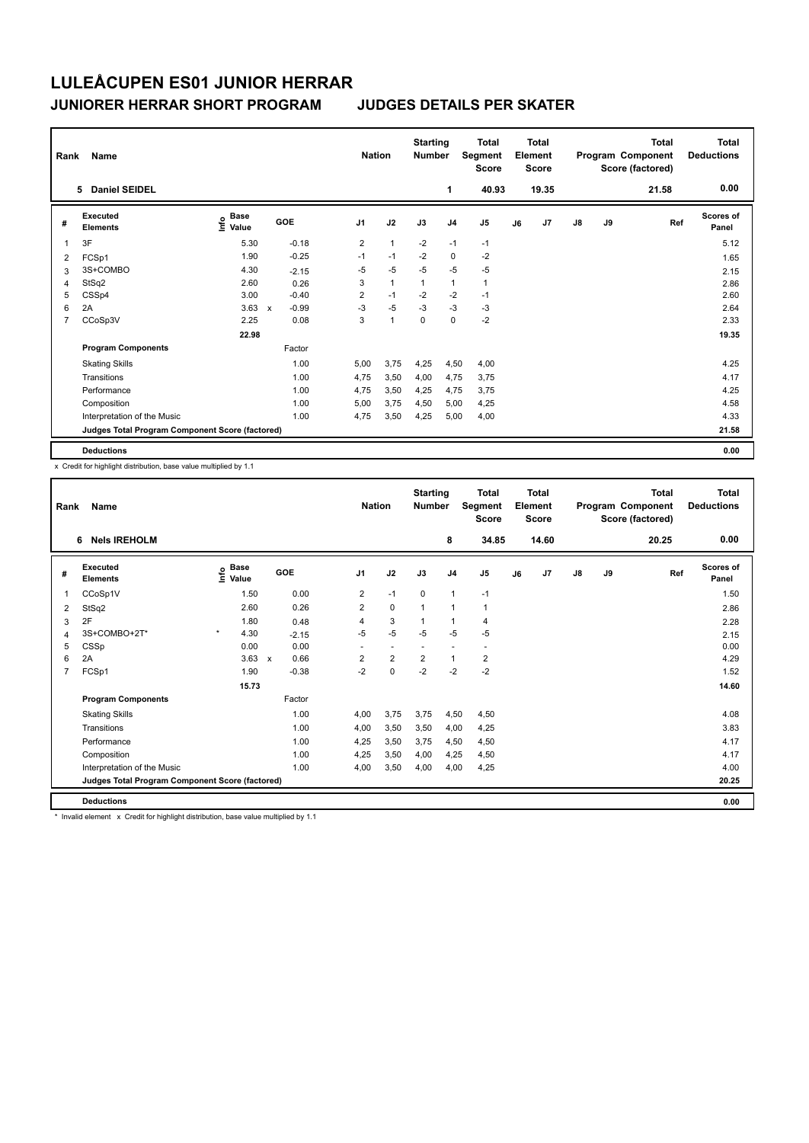### **JUNIORER HERRAR SHORT PROGRAM JUDGES DETAILS PER SKATER**

| Rank           | Name                                            | <b>Nation</b>                    |                                      | <b>Starting</b><br><b>Number</b> |              | <b>Total</b><br>Segment<br><b>Score</b> |                | <b>Total</b><br>Element<br><b>Score</b> |    |       | Total<br>Program Component<br>Score (factored) | <b>Total</b><br><b>Deductions</b> |       |                           |
|----------------|-------------------------------------------------|----------------------------------|--------------------------------------|----------------------------------|--------------|-----------------------------------------|----------------|-----------------------------------------|----|-------|------------------------------------------------|-----------------------------------|-------|---------------------------|
|                | <b>Daniel SEIDEL</b><br>5.                      |                                  |                                      |                                  |              |                                         | 1              | 40.93                                   |    | 19.35 |                                                |                                   | 21.58 | 0.00                      |
| #              | <b>Executed</b><br><b>Elements</b>              | <b>Base</b><br>e Base<br>⊆ Value | GOE                                  | J <sub>1</sub>                   | J2           | J3                                      | J <sub>4</sub> | J <sub>5</sub>                          | J6 | J7    | J8                                             | J9                                | Ref   | <b>Scores of</b><br>Panel |
| 1              | 3F                                              | 5.30                             | $-0.18$                              | $\overline{2}$                   | $\mathbf{1}$ | $-2$                                    | $-1$           | $-1$                                    |    |       |                                                |                                   |       | 5.12                      |
| 2              | FCSp1                                           | 1.90                             | $-0.25$                              | $-1$                             | $-1$         | $-2$                                    | $\mathbf 0$    | $-2$                                    |    |       |                                                |                                   |       | 1.65                      |
| 3              | 3S+COMBO                                        | 4.30                             | $-2.15$                              | $-5$                             | $-5$         | $-5$                                    | $-5$           | $-5$                                    |    |       |                                                |                                   |       | 2.15                      |
| 4              | StSq2                                           | 2.60                             | 0.26                                 | 3                                | $\mathbf{1}$ | 1                                       | $\mathbf{1}$   | $\mathbf{1}$                            |    |       |                                                |                                   |       | 2.86                      |
| 5              | CSSp4                                           | 3.00                             | $-0.40$                              | 2                                | $-1$         | $-2$                                    | $-2$           | $-1$                                    |    |       |                                                |                                   |       | 2.60                      |
| 6              | 2A                                              | 3.63                             | $-0.99$<br>$\boldsymbol{\mathsf{x}}$ | $-3$                             | $-5$         | $-3$                                    | $-3$           | $-3$                                    |    |       |                                                |                                   |       | 2.64                      |
| $\overline{7}$ | CCoSp3V                                         | 2.25                             | 0.08                                 | 3                                | 1            | $\mathbf 0$                             | $\mathbf 0$    | $-2$                                    |    |       |                                                |                                   |       | 2.33                      |
|                |                                                 | 22.98                            |                                      |                                  |              |                                         |                |                                         |    |       |                                                |                                   |       | 19.35                     |
|                | <b>Program Components</b>                       |                                  | Factor                               |                                  |              |                                         |                |                                         |    |       |                                                |                                   |       |                           |
|                | <b>Skating Skills</b>                           |                                  | 1.00                                 | 5,00                             | 3,75         | 4,25                                    | 4,50           | 4,00                                    |    |       |                                                |                                   |       | 4.25                      |
|                | Transitions                                     |                                  | 1.00                                 | 4,75                             | 3,50         | 4,00                                    | 4,75           | 3,75                                    |    |       |                                                |                                   |       | 4.17                      |
|                | Performance                                     |                                  | 1.00                                 | 4,75                             | 3,50         | 4,25                                    | 4,75           | 3,75                                    |    |       |                                                |                                   |       | 4.25                      |
|                | Composition                                     |                                  | 1.00                                 | 5,00                             | 3,75         | 4,50                                    | 5,00           | 4,25                                    |    |       |                                                |                                   |       | 4.58                      |
|                | Interpretation of the Music                     |                                  | 1.00                                 | 4,75                             | 3,50         | 4,25                                    | 5,00           | 4,00                                    |    |       |                                                |                                   |       | 4.33                      |
|                | Judges Total Program Component Score (factored) |                                  |                                      |                                  |              |                                         |                |                                         |    |       |                                                |                                   |       | 21.58                     |
|                | <b>Deductions</b>                               |                                  |                                      |                                  |              |                                         |                |                                         |    |       |                                                |                                   |       | 0.00                      |

x Credit for highlight distribution, base value multiplied by 1.1

| Rank           | Name                                            |                                           |                                   | <b>Nation</b>            |                | <b>Starting</b><br><b>Number</b> |                          | Total<br>Segment<br><b>Score</b> |    | Total<br>Element<br><b>Score</b> |               |    | Total<br>Program Component<br>Score (factored) | <b>Total</b><br><b>Deductions</b> |
|----------------|-------------------------------------------------|-------------------------------------------|-----------------------------------|--------------------------|----------------|----------------------------------|--------------------------|----------------------------------|----|----------------------------------|---------------|----|------------------------------------------------|-----------------------------------|
|                | <b>Nels IREHOLM</b><br>6                        |                                           |                                   |                          |                |                                  | 8                        | 34.85                            |    | 14.60                            |               |    | 20.25                                          | 0.00                              |
| #              | Executed<br><b>Elements</b>                     | $\frac{e}{E}$ Base<br>$\frac{E}{E}$ Value | GOE                               | J <sub>1</sub>           | J2             | J3                               | J <sub>4</sub>           | J5                               | J6 | J7                               | $\mathsf{J}8$ | J9 | Ref                                            | Scores of<br>Panel                |
| 1              | CCoSp1V                                         | 1.50                                      | 0.00                              | 2                        | $-1$           | 0                                | $\mathbf{1}$             | $-1$                             |    |                                  |               |    |                                                | 1.50                              |
| 2              | StSq2                                           | 2.60                                      | 0.26                              | $\overline{2}$           | $\mathbf 0$    | $\mathbf{1}$                     | $\mathbf{1}$             | 1                                |    |                                  |               |    |                                                | 2.86                              |
| 3              | 2F                                              | 1.80                                      | 0.48                              | 4                        | 3              | $\mathbf{1}$                     | 1                        | $\overline{4}$                   |    |                                  |               |    |                                                | 2.28                              |
| 4              | 3S+COMBO+2T*                                    | $\star$<br>4.30                           | $-2.15$                           | $-5$                     | $-5$           | $-5$                             | $-5$                     | $-5$                             |    |                                  |               |    |                                                | 2.15                              |
| 5              | CSSp                                            | 0.00                                      | 0.00                              | $\overline{\phantom{a}}$ | $\sim$         | $\overline{\phantom{a}}$         | $\overline{\phantom{a}}$ | $\overline{\phantom{a}}$         |    |                                  |               |    |                                                | 0.00                              |
| 6              | 2A                                              | 3.63                                      | 0.66<br>$\boldsymbol{\mathsf{x}}$ | $\overline{2}$           | $\overline{2}$ | $\overline{2}$                   | 1                        | 2                                |    |                                  |               |    |                                                | 4.29                              |
| $\overline{7}$ | FCSp1                                           | 1.90                                      | $-0.38$                           | $-2$                     | 0              | $-2$                             | $-2$                     | $-2$                             |    |                                  |               |    |                                                | 1.52                              |
|                |                                                 | 15.73                                     |                                   |                          |                |                                  |                          |                                  |    |                                  |               |    |                                                | 14.60                             |
|                | <b>Program Components</b>                       |                                           | Factor                            |                          |                |                                  |                          |                                  |    |                                  |               |    |                                                |                                   |
|                | <b>Skating Skills</b>                           |                                           | 1.00                              | 4,00                     | 3,75           | 3,75                             | 4,50                     | 4,50                             |    |                                  |               |    |                                                | 4.08                              |
|                | Transitions                                     |                                           | 1.00                              | 4,00                     | 3,50           | 3,50                             | 4,00                     | 4,25                             |    |                                  |               |    |                                                | 3.83                              |
|                | Performance                                     |                                           | 1.00                              | 4,25                     | 3,50           | 3,75                             | 4,50                     | 4,50                             |    |                                  |               |    |                                                | 4.17                              |
|                | Composition                                     |                                           | 1.00                              | 4,25                     | 3,50           | 4,00                             | 4,25                     | 4,50                             |    |                                  |               |    |                                                | 4.17                              |
|                | Interpretation of the Music                     |                                           | 1.00                              | 4,00                     | 3,50           | 4,00                             | 4,00                     | 4,25                             |    |                                  |               |    |                                                | 4.00                              |
|                | Judges Total Program Component Score (factored) |                                           |                                   |                          |                |                                  |                          |                                  |    |                                  |               |    |                                                | 20.25                             |
|                | <b>Deductions</b>                               |                                           |                                   |                          |                |                                  |                          |                                  |    |                                  |               |    |                                                | 0.00                              |

\* Invalid element x Credit for highlight distribution, base value multiplied by 1.1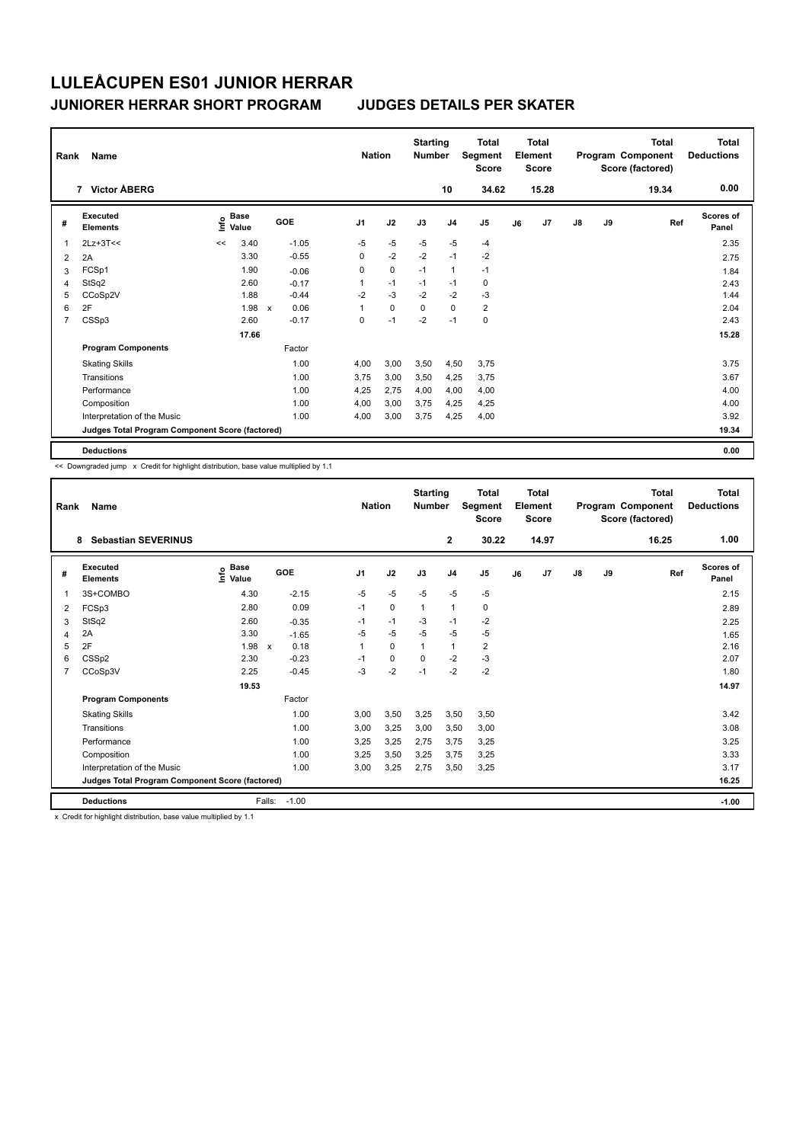### **JUNIORER HERRAR SHORT PROGRAM JUDGES DETAILS PER SKATER**

| Rank           | Name                                            |                                  |                      | <b>Nation</b>  |      | <b>Starting</b><br><b>Number</b> |                | <b>Total</b><br>Segment<br><b>Score</b> |    | Total<br>Element<br><b>Score</b> |    |    | <b>Total</b><br>Program Component<br>Score (factored) | <b>Total</b><br><b>Deductions</b> |
|----------------|-------------------------------------------------|----------------------------------|----------------------|----------------|------|----------------------------------|----------------|-----------------------------------------|----|----------------------------------|----|----|-------------------------------------------------------|-----------------------------------|
|                | 7 Victor ÅBERG                                  |                                  |                      |                |      |                                  | 10             | 34.62                                   |    | 15.28                            |    |    | 19.34                                                 | 0.00                              |
| #              | Executed<br><b>Elements</b>                     | <b>Base</b><br>e Base<br>⊆ Value | GOE                  | J <sub>1</sub> | J2   | J3                               | J <sub>4</sub> | J <sub>5</sub>                          | J6 | J7                               | J8 | J9 | Ref                                                   | <b>Scores of</b><br>Panel         |
| -1             | $2Lz+3T<<$                                      | 3.40<br><<                       | $-1.05$              | $-5$           | $-5$ | $-5$                             | $-5$           | $-4$                                    |    |                                  |    |    |                                                       | 2.35                              |
| $\overline{2}$ | 2A                                              | 3.30                             | $-0.55$              | 0              | $-2$ | $-2$                             | $-1$           | $-2$                                    |    |                                  |    |    |                                                       | 2.75                              |
| 3              | FCSp1                                           | 1.90                             | $-0.06$              | 0              | 0    | $-1$                             | 1              | $-1$                                    |    |                                  |    |    |                                                       | 1.84                              |
| 4              | StSq2                                           | 2.60                             | $-0.17$              | 1              | $-1$ | $-1$                             | -1             | 0                                       |    |                                  |    |    |                                                       | 2.43                              |
| 5              | CCoSp2V                                         | 1.88                             | $-0.44$              | $-2$           | $-3$ | $-2$                             | $-2$           | $-3$                                    |    |                                  |    |    |                                                       | 1.44                              |
| 6              | 2F                                              | 1.98                             | 0.06<br>$\mathsf{x}$ | 1              | 0    | $\Omega$                         | $\Omega$       | $\overline{2}$                          |    |                                  |    |    |                                                       | 2.04                              |
| $\overline{7}$ | CSSp3                                           | 2.60                             | $-0.17$              | 0              | $-1$ | $-2$                             | $-1$           | 0                                       |    |                                  |    |    |                                                       | 2.43                              |
|                |                                                 | 17.66                            |                      |                |      |                                  |                |                                         |    |                                  |    |    |                                                       | 15.28                             |
|                | <b>Program Components</b>                       |                                  | Factor               |                |      |                                  |                |                                         |    |                                  |    |    |                                                       |                                   |
|                | <b>Skating Skills</b>                           |                                  | 1.00                 | 4,00           | 3,00 | 3,50                             | 4,50           | 3,75                                    |    |                                  |    |    |                                                       | 3.75                              |
|                | Transitions                                     |                                  | 1.00                 | 3,75           | 3,00 | 3,50                             | 4,25           | 3,75                                    |    |                                  |    |    |                                                       | 3.67                              |
|                | Performance                                     |                                  | 1.00                 | 4,25           | 2,75 | 4,00                             | 4,00           | 4,00                                    |    |                                  |    |    |                                                       | 4.00                              |
|                | Composition                                     |                                  | 1.00                 | 4,00           | 3,00 | 3,75                             | 4,25           | 4,25                                    |    |                                  |    |    |                                                       | 4.00                              |
|                | Interpretation of the Music                     |                                  | 1.00                 | 4,00           | 3,00 | 3,75                             | 4,25           | 4,00                                    |    |                                  |    |    |                                                       | 3.92                              |
|                | Judges Total Program Component Score (factored) |                                  |                      |                |      |                                  |                |                                         |    |                                  |    |    |                                                       | 19.34                             |
|                | <b>Deductions</b>                               |                                  |                      |                |      |                                  |                |                                         |    |                                  |    |    |                                                       | 0.00                              |

<< Downgraded jump x Credit for highlight distribution, base value multiplied by 1.1

| Rank           | Name                                            |                                           | <b>Nation</b>        | <b>Starting</b><br><b>Number</b> |             | <b>Total</b><br>Segment<br><b>Score</b> |                | <b>Total</b><br>Element<br><b>Score</b> |    |       | <b>Total</b><br>Program Component<br>Score (factored) | <b>Total</b><br><b>Deductions</b> |       |                    |
|----------------|-------------------------------------------------|-------------------------------------------|----------------------|----------------------------------|-------------|-----------------------------------------|----------------|-----------------------------------------|----|-------|-------------------------------------------------------|-----------------------------------|-------|--------------------|
|                | <b>Sebastian SEVERINUS</b><br>8                 |                                           |                      |                                  |             |                                         | $\mathbf{2}$   | 30.22                                   |    | 14.97 |                                                       |                                   | 16.25 | 1.00               |
| #              | Executed<br><b>Elements</b>                     | $\frac{e}{E}$ Base<br>$\frac{e}{E}$ Value | GOE                  | J <sub>1</sub>                   | J2          | J3                                      | J <sub>4</sub> | J5                                      | J6 | J7    | $\mathsf{J}8$                                         | J9                                | Ref   | Scores of<br>Panel |
| 1              | 3S+COMBO                                        | 4.30                                      | $-2.15$              | $-5$                             | $-5$        | $-5$                                    | $-5$           | $-5$                                    |    |       |                                                       |                                   |       | 2.15               |
| 2              | FCSp3                                           | 2.80                                      | 0.09                 | $-1$                             | $\mathbf 0$ | $\mathbf{1}$                            | $\mathbf{1}$   | 0                                       |    |       |                                                       |                                   |       | 2.89               |
| 3              | StSq2                                           | 2.60                                      | $-0.35$              | $-1$                             | $-1$        | $-3$                                    | $-1$           | $-2$                                    |    |       |                                                       |                                   |       | 2.25               |
| 4              | 2A                                              | 3.30                                      | $-1.65$              | $-5$                             | $-5$        | $-5$                                    | $-5$           | $-5$                                    |    |       |                                                       |                                   |       | 1.65               |
| 5              | 2F                                              | 1.98                                      | 0.18<br>$\mathsf{x}$ |                                  | $\mathbf 0$ | 1                                       | $\mathbf{1}$   | $\overline{\mathbf{c}}$                 |    |       |                                                       |                                   |       | 2.16               |
| 6              | CSSp2                                           | 2.30                                      | $-0.23$              | $-1$                             | 0           | $\Omega$                                | $-2$           | $-3$                                    |    |       |                                                       |                                   |       | 2.07               |
| $\overline{7}$ | CCoSp3V                                         | 2.25                                      | $-0.45$              | $-3$                             | $-2$        | $-1$                                    | $-2$           | $-2$                                    |    |       |                                                       |                                   |       | 1.80               |
|                |                                                 | 19.53                                     |                      |                                  |             |                                         |                |                                         |    |       |                                                       |                                   |       | 14.97              |
|                | <b>Program Components</b>                       |                                           | Factor               |                                  |             |                                         |                |                                         |    |       |                                                       |                                   |       |                    |
|                | <b>Skating Skills</b>                           |                                           | 1.00                 | 3,00                             | 3,50        | 3,25                                    | 3,50           | 3,50                                    |    |       |                                                       |                                   |       | 3.42               |
|                | Transitions                                     |                                           | 1.00                 | 3,00                             | 3,25        | 3,00                                    | 3,50           | 3,00                                    |    |       |                                                       |                                   |       | 3.08               |
|                | Performance                                     |                                           | 1.00                 | 3,25                             | 3,25        | 2,75                                    | 3,75           | 3,25                                    |    |       |                                                       |                                   |       | 3.25               |
|                | Composition                                     |                                           | 1.00                 | 3,25                             | 3,50        | 3,25                                    | 3,75           | 3,25                                    |    |       |                                                       |                                   |       | 3.33               |
|                | Interpretation of the Music                     |                                           | 1.00                 | 3,00                             | 3,25        | 2,75                                    | 3,50           | 3,25                                    |    |       |                                                       |                                   |       | 3.17               |
|                | Judges Total Program Component Score (factored) |                                           |                      |                                  |             |                                         |                |                                         |    |       |                                                       |                                   |       | 16.25              |
|                | <b>Deductions</b>                               |                                           | Falls:<br>$-1.00$    |                                  |             |                                         |                |                                         |    |       |                                                       |                                   |       | $-1.00$            |

x Credit for highlight distribution, base value multiplied by 1.1